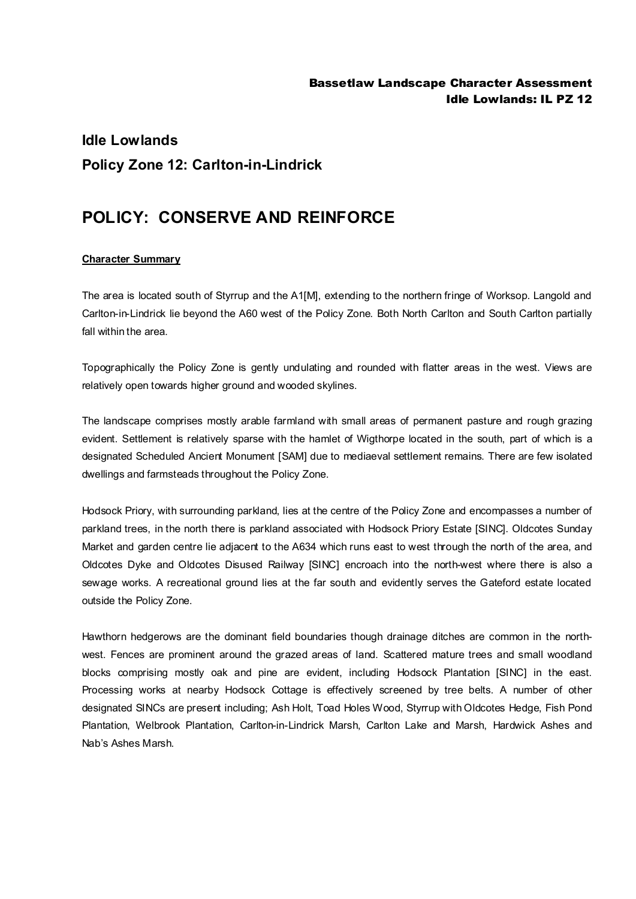## **Idle Lowlands Policy Zone 12: Carlton-in-Lindrick**

## **POLICY: CONSERVE AND REINFORCE**

## **Character Summary**

The area is located south of Styrrup and the A1[M], extending to the northern fringe of Worksop. Langold and Carlton-in-Lindrick lie beyond the A60 west of the Policy Zone. Both North Carlton and South Carlton partially fall within the area.

Topographically the Policy Zone is gently undulating and rounded with flatter areas in the west. Views are relatively open towards higher ground and wooded skylines.

The landscape comprises mostly arable farmland with small areas of permanent pasture and rough grazing evident. Settlement is relatively sparse with the hamlet of Wigthorpe located in the south, part of which is a designated Scheduled Ancient Monument [SAM] due to mediaeval settlement remains. There are few isolated dwellings and farmsteads throughout the Policy Zone.

Hodsock Priory, with surrounding parkland, lies at the centre of the Policy Zone and encompasses a number of parkland trees, in the north there is parkland associated with Hodsock Priory Estate [SINC]. Oldcotes Sunday Market and garden centre lie adjacent to the A634 which runs east to west through the north of the area, and Oldcotes Dyke and Oldcotes Disused Railway [SINC] encroach into the north-west where there is also a sewage works. A recreational ground lies at the far south and evidently serves the Gateford estate located outside the Policy Zone.

Hawthorn hedgerows are the dominant field boundaries though drainage ditches are common in the northwest. Fences are prominent around the grazed areas of land. Scattered mature trees and small woodland blocks comprising mostly oak and pine are evident, including Hodsock Plantation [SINC] in the east. Processing works at nearby Hodsock Cottage is effectively screened by tree belts. A number of other designated SINCs are present including; Ash Holt, Toad Holes Wood, Styrrup with Oldcotes Hedge, Fish Pond Plantation, Welbrook Plantation, Carlton-in-Lindrick Marsh, Carlton Lake and Marsh, Hardwick Ashes and Nab's Ashes Marsh.